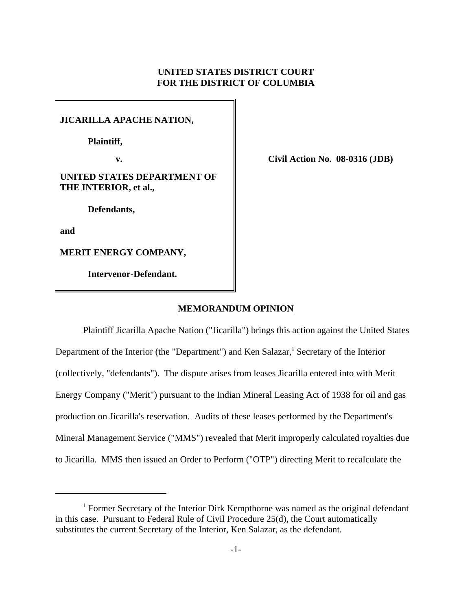# **UNITED STATES DISTRICT COURT FOR THE DISTRICT OF COLUMBIA**

# **JICARILLA APACHE NATION,**

**Plaintiff,**

# **UNITED STATES DEPARTMENT OF THE INTERIOR, et al.,**

 **Defendants,**

**and**

**MERIT ENERGY COMPANY,**

 **Intervenor-Defendant.**

**v. Civil Action No. 08-0316 (JDB)**

## **MEMORANDUM OPINION**

Plaintiff Jicarilla Apache Nation ("Jicarilla") brings this action against the United States Department of the Interior (the "Department") and Ken Salazar,<sup>1</sup> Secretary of the Interior (collectively, "defendants"). The dispute arises from leases Jicarilla entered into with Merit Energy Company ("Merit") pursuant to the Indian Mineral Leasing Act of 1938 for oil and gas production on Jicarilla's reservation. Audits of these leases performed by the Department's Mineral Management Service ("MMS") revealed that Merit improperly calculated royalties due to Jicarilla. MMS then issued an Order to Perform ("OTP") directing Merit to recalculate the

<sup>&</sup>lt;sup>1</sup> Former Secretary of the Interior Dirk Kempthorne was named as the original defendant in this case. Pursuant to Federal Rule of Civil Procedure 25(d), the Court automatically substitutes the current Secretary of the Interior, Ken Salazar, as the defendant.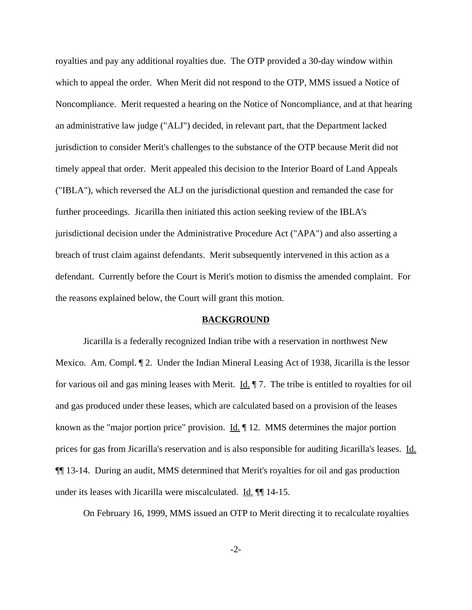royalties and pay any additional royalties due. The OTP provided a 30-day window within which to appeal the order. When Merit did not respond to the OTP, MMS issued a Notice of Noncompliance. Merit requested a hearing on the Notice of Noncompliance, and at that hearing an administrative law judge ("ALJ") decided, in relevant part, that the Department lacked jurisdiction to consider Merit's challenges to the substance of the OTP because Merit did not timely appeal that order. Merit appealed this decision to the Interior Board of Land Appeals ("IBLA"), which reversed the ALJ on the jurisdictional question and remanded the case for further proceedings. Jicarilla then initiated this action seeking review of the IBLA's jurisdictional decision under the Administrative Procedure Act ("APA") and also asserting a breach of trust claim against defendants. Merit subsequently intervened in this action as a defendant. Currently before the Court is Merit's motion to dismiss the amended complaint. For the reasons explained below, the Court will grant this motion.

### **BACKGROUND**

Jicarilla is a federally recognized Indian tribe with a reservation in northwest New Mexico. Am. Compl. ¶ 2. Under the Indian Mineral Leasing Act of 1938, Jicarilla is the lessor for various oil and gas mining leases with Merit.  $\underline{Id}$ . The tribe is entitled to royalties for oil and gas produced under these leases, which are calculated based on a provision of the leases known as the "major portion price" provision. Id.  $\parallel$  12. MMS determines the major portion prices for gas from Jicarilla's reservation and is also responsible for auditing Jicarilla's leases. Id. ¶¶ 13-14. During an audit, MMS determined that Merit's royalties for oil and gas production under its leases with Jicarilla were miscalculated. Id. ¶¶ 14-15.

On February 16, 1999, MMS issued an OTP to Merit directing it to recalculate royalties

-2-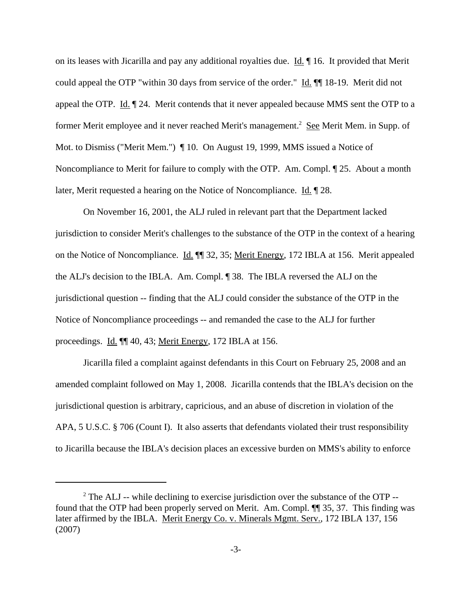on its leases with Jicarilla and pay any additional royalties due.  $\underline{Id}$ .  $\P$  16. It provided that Merit could appeal the OTP "within 30 days from service of the order." Id. ¶ 18-19. Merit did not appeal the OTP.  $\underline{Id}$ .  $\P$  24. Merit contends that it never appealed because MMS sent the OTP to a former Merit employee and it never reached Merit's management.<sup>2</sup> See Merit Mem. in Supp. of Mot. to Dismiss ("Merit Mem.") ¶ 10. On August 19, 1999, MMS issued a Notice of Noncompliance to Merit for failure to comply with the OTP. Am. Compl. ¶ 25. About a month later, Merit requested a hearing on the Notice of Noncompliance. Id. 128.

On November 16, 2001, the ALJ ruled in relevant part that the Department lacked jurisdiction to consider Merit's challenges to the substance of the OTP in the context of a hearing on the Notice of Noncompliance. Id. ¶¶ 32, 35; Merit Energy, 172 IBLA at 156. Merit appealed the ALJ's decision to the IBLA. Am. Compl. ¶ 38. The IBLA reversed the ALJ on the jurisdictional question -- finding that the ALJ could consider the substance of the OTP in the Notice of Noncompliance proceedings -- and remanded the case to the ALJ for further proceedings. Id. ¶¶ 40, 43; Merit Energy, 172 IBLA at 156.

Jicarilla filed a complaint against defendants in this Court on February 25, 2008 and an amended complaint followed on May 1, 2008. Jicarilla contends that the IBLA's decision on the jurisdictional question is arbitrary, capricious, and an abuse of discretion in violation of the APA, 5 U.S.C. § 706 (Count I). It also asserts that defendants violated their trust responsibility to Jicarilla because the IBLA's decision places an excessive burden on MMS's ability to enforce

 $2^2$  The ALJ -- while declining to exercise jurisdiction over the substance of the OTP -found that the OTP had been properly served on Merit. Am. Compl. ¶¶ 35, 37. This finding was later affirmed by the IBLA. Merit Energy Co. v. Minerals Mgmt. Serv., 172 IBLA 137, 156 (2007)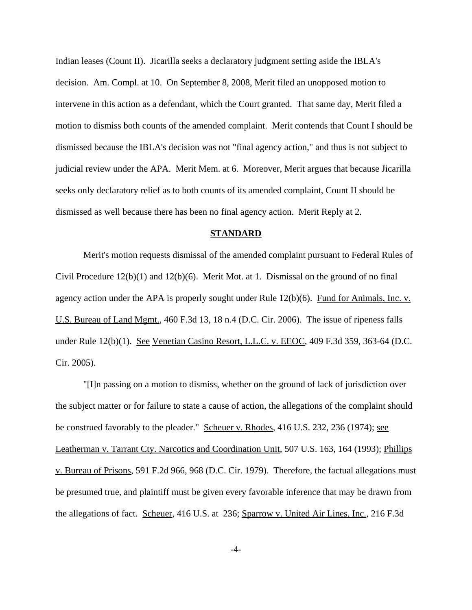Indian leases (Count II). Jicarilla seeks a declaratory judgment setting aside the IBLA's decision. Am. Compl. at 10. On September 8, 2008, Merit filed an unopposed motion to intervene in this action as a defendant, which the Court granted. That same day, Merit filed a motion to dismiss both counts of the amended complaint. Merit contends that Count I should be dismissed because the IBLA's decision was not "final agency action," and thus is not subject to judicial review under the APA. Merit Mem. at 6. Moreover, Merit argues that because Jicarilla seeks only declaratory relief as to both counts of its amended complaint, Count II should be dismissed as well because there has been no final agency action. Merit Reply at 2.

### **STANDARD**

Merit's motion requests dismissal of the amended complaint pursuant to Federal Rules of Civil Procedure  $12(b)(1)$  and  $12(b)(6)$ . Merit Mot. at 1. Dismissal on the ground of no final agency action under the APA is properly sought under Rule 12(b)(6). Fund for Animals, Inc. v. U.S. Bureau of Land Mgmt., 460 F.3d 13, 18 n.4 (D.C. Cir. 2006). The issue of ripeness falls under Rule 12(b)(1). See Venetian Casino Resort, L.L.C. v. EEOC, 409 F.3d 359, 363-64 (D.C. Cir. 2005).

"[I]n passing on a motion to dismiss, whether on the ground of lack of jurisdiction over the subject matter or for failure to state a cause of action, the allegations of the complaint should be construed favorably to the pleader." Scheuer v. Rhodes, 416 U.S. 232, 236 (1974); see Leatherman v. Tarrant Cty. Narcotics and Coordination Unit, 507 U.S. 163, 164 (1993); Phillips v. Bureau of Prisons, 591 F.2d 966, 968 (D.C. Cir. 1979). Therefore, the factual allegations must be presumed true, and plaintiff must be given every favorable inference that may be drawn from the allegations of fact. Scheuer, 416 U.S. at 236; Sparrow v. United Air Lines, Inc., 216 F.3d

-4-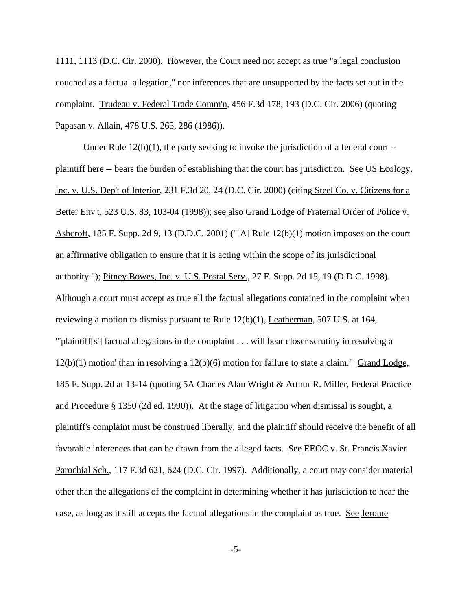1111, 1113 (D.C. Cir. 2000). However, the Court need not accept as true "a legal conclusion couched as a factual allegation," nor inferences that are unsupported by the facts set out in the complaint. Trudeau v. Federal Trade Comm'n, 456 F.3d 178, 193 (D.C. Cir. 2006) (quoting Papasan v. Allain, 478 U.S. 265, 286 (1986)).

Under Rule 12(b)(1), the party seeking to invoke the jurisdiction of a federal court - plaintiff here -- bears the burden of establishing that the court has jurisdiction. See US Ecology, Inc. v. U.S. Dep't of Interior, 231 F.3d 20, 24 (D.C. Cir. 2000) (citing Steel Co. v. Citizens for a Better Env't, 523 U.S. 83, 103-04 (1998)); <u>see also Grand Lodge of Fraternal Order of Police v.</u> Ashcroft, 185 F. Supp. 2d 9, 13 (D.D.C. 2001) ("[A] Rule 12(b)(1) motion imposes on the court an affirmative obligation to ensure that it is acting within the scope of its jurisdictional authority."); Pitney Bowes, Inc. v. U.S. Postal Serv., 27 F. Supp. 2d 15, 19 (D.D.C. 1998). Although a court must accept as true all the factual allegations contained in the complaint when reviewing a motion to dismiss pursuant to Rule  $12(b)(1)$ , Leatherman, 507 U.S. at 164, "'plaintiff[s'] factual allegations in the complaint . . . will bear closer scrutiny in resolving a 12(b)(1) motion' than in resolving a 12(b)(6) motion for failure to state a claim." Grand Lodge, 185 F. Supp. 2d at 13-14 (quoting 5A Charles Alan Wright & Arthur R. Miller, Federal Practice and Procedure § 1350 (2d ed. 1990)). At the stage of litigation when dismissal is sought, a plaintiff's complaint must be construed liberally, and the plaintiff should receive the benefit of all favorable inferences that can be drawn from the alleged facts. See EEOC v. St. Francis Xavier Parochial Sch., 117 F.3d 621, 624 (D.C. Cir. 1997). Additionally, a court may consider material other than the allegations of the complaint in determining whether it has jurisdiction to hear the case, as long as it still accepts the factual allegations in the complaint as true. See Jerome

-5-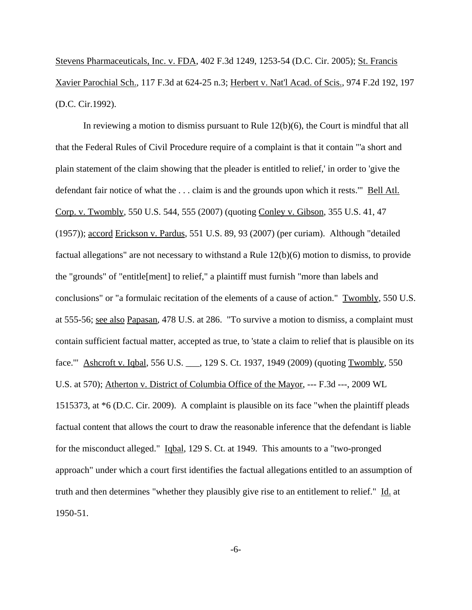Stevens Pharmaceuticals, Inc. v. FDA, 402 F.3d 1249, 1253-54 (D.C. Cir. 2005); St. Francis Xavier Parochial Sch., 117 F.3d at 624-25 n.3; Herbert v. Nat'l Acad. of Scis., 974 F.2d 192, 197 (D.C. Cir.1992).

In reviewing a motion to dismiss pursuant to Rule 12(b)(6), the Court is mindful that all that the Federal Rules of Civil Procedure require of a complaint is that it contain "'a short and plain statement of the claim showing that the pleader is entitled to relief,' in order to 'give the defendant fair notice of what the ... claim is and the grounds upon which it rests." Bell Atl. Corp. v. Twombly, 550 U.S. 544, 555 (2007) (quoting Conley v. Gibson, 355 U.S. 41, 47 (1957)); accord Erickson v. Pardus, 551 U.S. 89, 93 (2007) (per curiam). Although "detailed factual allegations" are not necessary to withstand a Rule 12(b)(6) motion to dismiss, to provide the "grounds" of "entitle[ment] to relief," a plaintiff must furnish "more than labels and conclusions" or "a formulaic recitation of the elements of a cause of action." Twombly, 550 U.S. at 555-56; see also Papasan, 478 U.S. at 286. "To survive a motion to dismiss, a complaint must contain sufficient factual matter, accepted as true, to 'state a claim to relief that is plausible on its face.'" Ashcroft v. Iqbal, 556 U.S. \_\_\_, 129 S. Ct. 1937, 1949 (2009) (quoting Twombly, 550 U.S. at 570); Atherton v. District of Columbia Office of the Mayor, --- F.3d ---, 2009 WL 1515373, at \*6 (D.C. Cir. 2009). A complaint is plausible on its face "when the plaintiff pleads factual content that allows the court to draw the reasonable inference that the defendant is liable for the misconduct alleged." Iqbal, 129 S. Ct. at 1949. This amounts to a "two-pronged approach" under which a court first identifies the factual allegations entitled to an assumption of truth and then determines "whether they plausibly give rise to an entitlement to relief." Id. at 1950-51.

-6-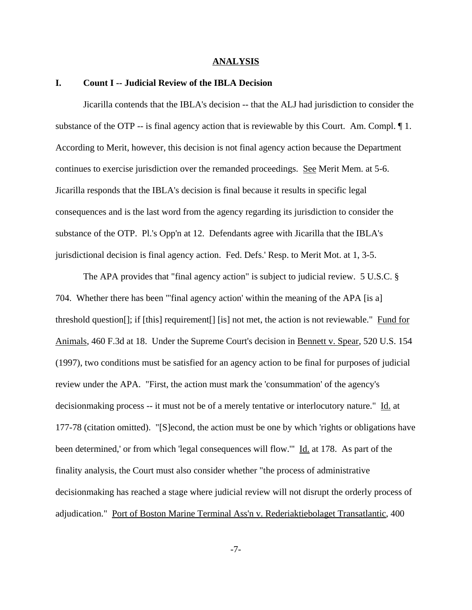#### **ANALYSIS**

#### **I. Count I -- Judicial Review of the IBLA Decision**

Jicarilla contends that the IBLA's decision -- that the ALJ had jurisdiction to consider the substance of the OTP -- is final agency action that is reviewable by this Court. Am. Compl.  $\P$ 1. According to Merit, however, this decision is not final agency action because the Department continues to exercise jurisdiction over the remanded proceedings. See Merit Mem. at 5-6. Jicarilla responds that the IBLA's decision is final because it results in specific legal consequences and is the last word from the agency regarding its jurisdiction to consider the substance of the OTP. Pl.'s Opp'n at 12. Defendants agree with Jicarilla that the IBLA's jurisdictional decision is final agency action. Fed. Defs.' Resp. to Merit Mot. at 1, 3-5.

The APA provides that "final agency action" is subject to judicial review. 5 U.S.C. § 704. Whether there has been "'final agency action' within the meaning of the APA [is a] threshold question[]; if [this] requirement[] [is] not met, the action is not reviewable." Fund for Animals, 460 F.3d at 18. Under the Supreme Court's decision in Bennett v. Spear, 520 U.S. 154 (1997), two conditions must be satisfied for an agency action to be final for purposes of judicial review under the APA. "First, the action must mark the 'consummation' of the agency's decisionmaking process -- it must not be of a merely tentative or interlocutory nature." Id. at 177-78 (citation omitted). "[S]econd, the action must be one by which 'rights or obligations have been determined,' or from which 'legal consequences will flow.'" Id. at 178. As part of the finality analysis, the Court must also consider whether "the process of administrative decisionmaking has reached a stage where judicial review will not disrupt the orderly process of adjudication." Port of Boston Marine Terminal Ass'n v. Rederiaktiebolaget Transatlantic, 400

-7-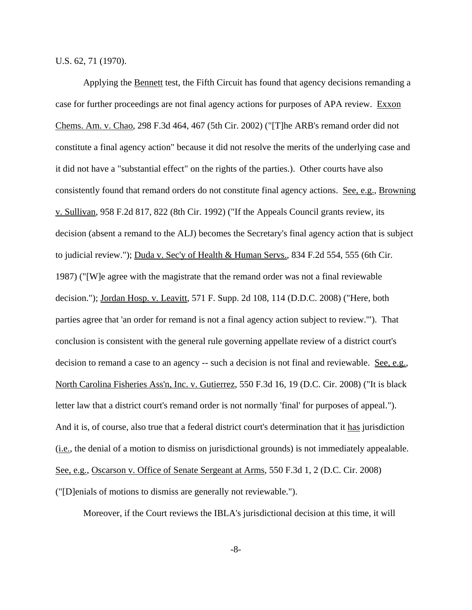U.S. 62, 71 (1970).

Applying the Bennett test, the Fifth Circuit has found that agency decisions remanding a case for further proceedings are not final agency actions for purposes of APA review. Exxon Chems. Am. v. Chao, 298 F.3d 464, 467 (5th Cir. 2002) ("[T]he ARB's remand order did not constitute a final agency action" because it did not resolve the merits of the underlying case and it did not have a "substantial effect" on the rights of the parties.). Other courts have also consistently found that remand orders do not constitute final agency actions. See, e.g., Browning v. Sullivan, 958 F.2d 817, 822 (8th Cir. 1992) ("If the Appeals Council grants review, its decision (absent a remand to the ALJ) becomes the Secretary's final agency action that is subject to judicial review."); Duda v. Sec'y of Health & Human Servs., 834 F.2d 554, 555 (6th Cir. 1987) ("[W]e agree with the magistrate that the remand order was not a final reviewable decision."); Jordan Hosp. v. Leavitt, 571 F. Supp. 2d 108, 114 (D.D.C. 2008) ("Here, both parties agree that 'an order for remand is not a final agency action subject to review.'"). That conclusion is consistent with the general rule governing appellate review of a district court's decision to remand a case to an agency -- such a decision is not final and reviewable. See, e.g., North Carolina Fisheries Ass'n, Inc. v. Gutierrez, 550 F.3d 16, 19 (D.C. Cir. 2008) ("It is black letter law that a district court's remand order is not normally 'final' for purposes of appeal."). And it is, of course, also true that a federal district court's determination that it has jurisdiction (i.e., the denial of a motion to dismiss on jurisdictional grounds) is not immediately appealable. See, e.g., Oscarson v. Office of Senate Sergeant at Arms, 550 F.3d 1, 2 (D.C. Cir. 2008) ("[D]enials of motions to dismiss are generally not reviewable.").

Moreover, if the Court reviews the IBLA's jurisdictional decision at this time, it will

-8-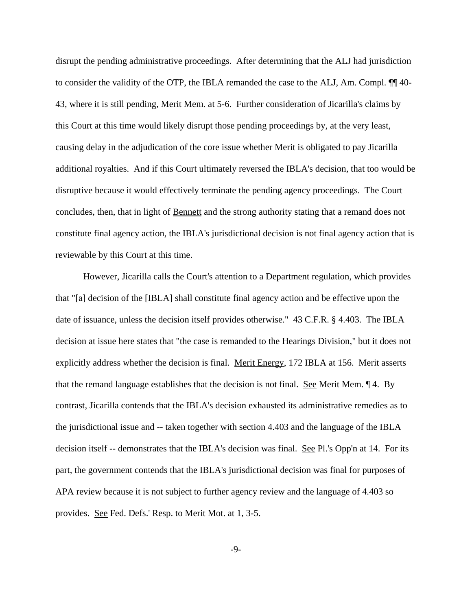disrupt the pending administrative proceedings. After determining that the ALJ had jurisdiction to consider the validity of the OTP, the IBLA remanded the case to the ALJ, Am. Compl. ¶¶ 40- 43, where it is still pending, Merit Mem. at 5-6. Further consideration of Jicarilla's claims by this Court at this time would likely disrupt those pending proceedings by, at the very least, causing delay in the adjudication of the core issue whether Merit is obligated to pay Jicarilla additional royalties. And if this Court ultimately reversed the IBLA's decision, that too would be disruptive because it would effectively terminate the pending agency proceedings. The Court concludes, then, that in light of Bennett and the strong authority stating that a remand does not constitute final agency action, the IBLA's jurisdictional decision is not final agency action that is reviewable by this Court at this time.

However, Jicarilla calls the Court's attention to a Department regulation, which provides that "[a] decision of the [IBLA] shall constitute final agency action and be effective upon the date of issuance, unless the decision itself provides otherwise." 43 C.F.R. § 4.403. The IBLA decision at issue here states that "the case is remanded to the Hearings Division," but it does not explicitly address whether the decision is final. Merit Energy, 172 IBLA at 156. Merit asserts that the remand language establishes that the decision is not final. See Merit Mem.  $\P$  4. By contrast, Jicarilla contends that the IBLA's decision exhausted its administrative remedies as to the jurisdictional issue and -- taken together with section 4.403 and the language of the IBLA decision itself -- demonstrates that the IBLA's decision was final. See Pl.'s Opp'n at 14. For its part, the government contends that the IBLA's jurisdictional decision was final for purposes of APA review because it is not subject to further agency review and the language of 4.403 so provides. See Fed. Defs.' Resp. to Merit Mot. at 1, 3-5.

-9-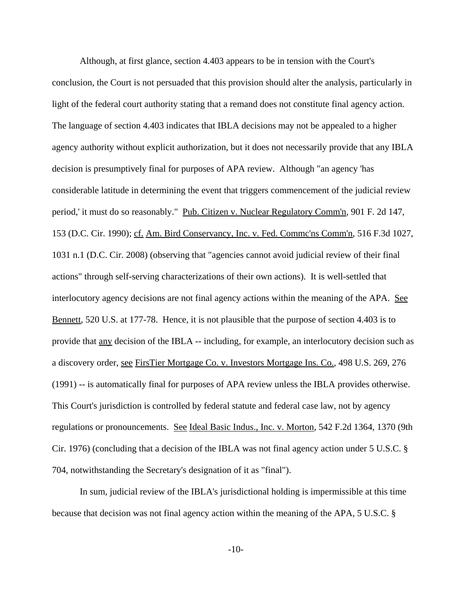Although, at first glance, section 4.403 appears to be in tension with the Court's conclusion, the Court is not persuaded that this provision should alter the analysis, particularly in light of the federal court authority stating that a remand does not constitute final agency action. The language of section 4.403 indicates that IBLA decisions may not be appealed to a higher agency authority without explicit authorization, but it does not necessarily provide that any IBLA decision is presumptively final for purposes of APA review. Although "an agency 'has considerable latitude in determining the event that triggers commencement of the judicial review period,' it must do so reasonably." Pub. Citizen v. Nuclear Regulatory Comm'n, 901 F. 2d 147, 153 (D.C. Cir. 1990); cf. Am. Bird Conservancy, Inc. v. Fed. Commc'ns Comm'n, 516 F.3d 1027, 1031 n.1 (D.C. Cir. 2008) (observing that "agencies cannot avoid judicial review of their final actions" through self-serving characterizations of their own actions). It is well-settled that interlocutory agency decisions are not final agency actions within the meaning of the APA. See Bennett, 520 U.S. at 177-78. Hence, it is not plausible that the purpose of section 4.403 is to provide that any decision of the IBLA -- including, for example, an interlocutory decision such as a discovery order, see FirsTier Mortgage Co. v. Investors Mortgage Ins. Co., 498 U.S. 269, 276 (1991) -- is automatically final for purposes of APA review unless the IBLA provides otherwise. This Court's jurisdiction is controlled by federal statute and federal case law, not by agency regulations or pronouncements. See Ideal Basic Indus., Inc. v. Morton, 542 F.2d 1364, 1370 (9th Cir. 1976) (concluding that a decision of the IBLA was not final agency action under 5 U.S.C. § 704, notwithstanding the Secretary's designation of it as "final").

In sum, judicial review of the IBLA's jurisdictional holding is impermissible at this time because that decision was not final agency action within the meaning of the APA, 5 U.S.C. §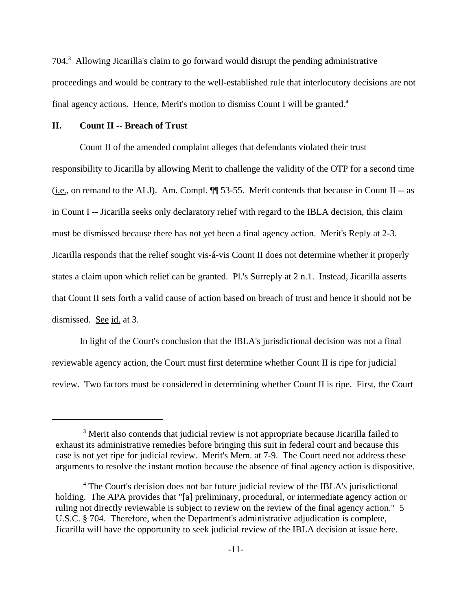704.<sup>3</sup> Allowing Jicarilla's claim to go forward would disrupt the pending administrative proceedings and would be contrary to the well-established rule that interlocutory decisions are not final agency actions. Hence, Merit's motion to dismiss Count I will be granted.<sup>4</sup>

## **II. Count II -- Breach of Trust**

Count II of the amended complaint alleges that defendants violated their trust responsibility to Jicarilla by allowing Merit to challenge the validity of the OTP for a second time (i.e., on remand to the ALJ). Am. Compl. ¶¶ 53-55. Merit contends that because in Count II -- as in Count I -- Jicarilla seeks only declaratory relief with regard to the IBLA decision, this claim must be dismissed because there has not yet been a final agency action. Merit's Reply at 2-3. Jicarilla responds that the relief sought vis-á-vis Count II does not determine whether it properly states a claim upon which relief can be granted. Pl.'s Surreply at 2 n.1. Instead, Jicarilla asserts that Count II sets forth a valid cause of action based on breach of trust and hence it should not be dismissed. See id. at 3.

In light of the Court's conclusion that the IBLA's jurisdictional decision was not a final reviewable agency action, the Court must first determine whether Count II is ripe for judicial review. Two factors must be considered in determining whether Count II is ripe. First, the Court

<sup>&</sup>lt;sup>3</sup> Merit also contends that judicial review is not appropriate because Jicarilla failed to exhaust its administrative remedies before bringing this suit in federal court and because this case is not yet ripe for judicial review. Merit's Mem. at 7-9. The Court need not address these arguments to resolve the instant motion because the absence of final agency action is dispositive.

<sup>&</sup>lt;sup>4</sup> The Court's decision does not bar future judicial review of the IBLA's jurisdictional holding. The APA provides that "[a] preliminary, procedural, or intermediate agency action or ruling not directly reviewable is subject to review on the review of the final agency action." 5 U.S.C. § 704. Therefore, when the Department's administrative adjudication is complete, Jicarilla will have the opportunity to seek judicial review of the IBLA decision at issue here.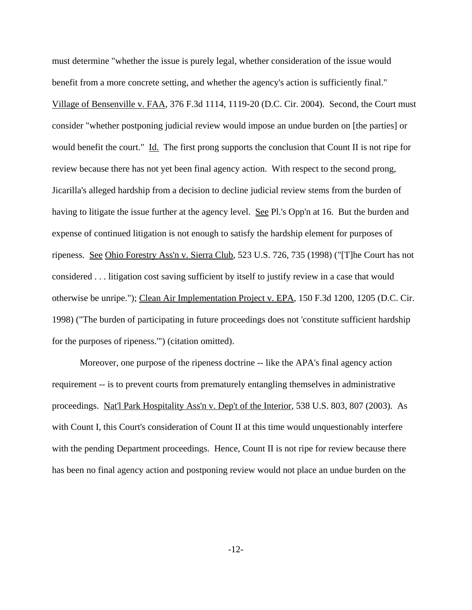must determine "whether the issue is purely legal, whether consideration of the issue would benefit from a more concrete setting, and whether the agency's action is sufficiently final." Village of Bensenville v. FAA, 376 F.3d 1114, 1119-20 (D.C. Cir. 2004). Second, the Court must consider "whether postponing judicial review would impose an undue burden on [the parties] or would benefit the court." Id. The first prong supports the conclusion that Count II is not ripe for review because there has not yet been final agency action. With respect to the second prong, Jicarilla's alleged hardship from a decision to decline judicial review stems from the burden of having to litigate the issue further at the agency level. See Pl.'s Opp'n at 16. But the burden and expense of continued litigation is not enough to satisfy the hardship element for purposes of ripeness. See Ohio Forestry Ass'n v. Sierra Club, 523 U.S. 726, 735 (1998) ("[T]he Court has not considered . . . litigation cost saving sufficient by itself to justify review in a case that would otherwise be unripe."); Clean Air Implementation Project v. EPA, 150 F.3d 1200, 1205 (D.C. Cir. 1998) ("The burden of participating in future proceedings does not 'constitute sufficient hardship for the purposes of ripeness.'") (citation omitted).

Moreover, one purpose of the ripeness doctrine -- like the APA's final agency action requirement -- is to prevent courts from prematurely entangling themselves in administrative proceedings. Nat'l Park Hospitality Ass'n v. Dep't of the Interior, 538 U.S. 803, 807 (2003). As with Count I, this Court's consideration of Count II at this time would unquestionably interfere with the pending Department proceedings. Hence, Count II is not ripe for review because there has been no final agency action and postponing review would not place an undue burden on the